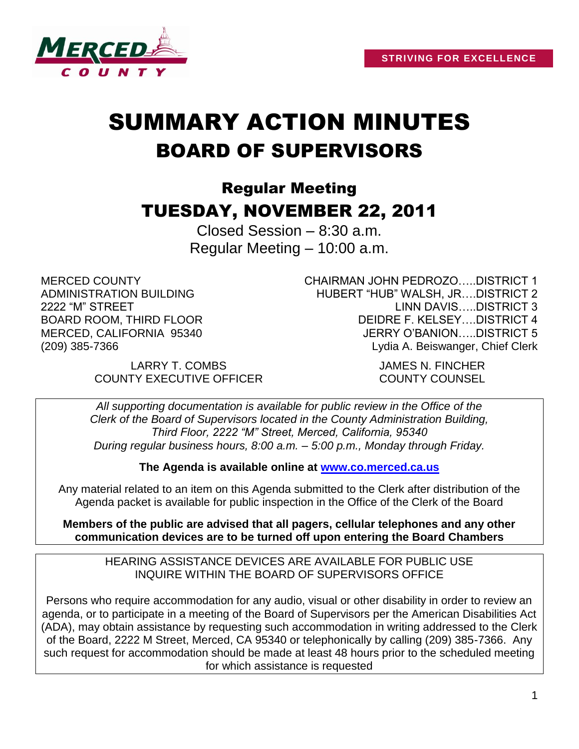

# SUMMARY ACTION MINUTES BOARD OF SUPERVISORS

## Regular Meeting TUESDAY, NOVEMBER 22, 2011

Closed Session – 8:30 a.m. Regular Meeting – 10:00 a.m.

MERCED COUNTY ADMINISTRATION BUILDING 2222 "M" STREET BOARD ROOM, THIRD FLOOR MERCED, CALIFORNIA 95340 (209) 385-7366

CHAIRMAN JOHN PEDROZO…..DISTRICT 1 HUBERT "HUB" WALSH, JR….DISTRICT 2 LINN DAVIS…..DISTRICT 3 DEIDRE F. KELSEY….DISTRICT 4 JERRY O'BANION…..DISTRICT 5 Lydia A. Beiswanger, Chief Clerk

LARRY T. COMBS JAMES N. FINCHER COUNTY EXECUTIVE OFFICER COUNTY COUNSEL

*All supporting documentation is available for public review in the Office of the Clerk of the Board of Supervisors located in the County Administration Building, Third Floor, 2222 "M" Street, Merced, California, 95340 During regular business hours, 8:00 a.m. – 5:00 p.m., Monday through Friday.*

**The Agenda is available online at [www.co.merced.ca.us](http://www.co.merced.ca.us/)**

Any material related to an item on this Agenda submitted to the Clerk after distribution of the Agenda packet is available for public inspection in the Office of the Clerk of the Board

**Members of the public are advised that all pagers, cellular telephones and any other communication devices are to be turned off upon entering the Board Chambers**

HEARING ASSISTANCE DEVICES ARE AVAILABLE FOR PUBLIC USE INQUIRE WITHIN THE BOARD OF SUPERVISORS OFFICE

Persons who require accommodation for any audio, visual or other disability in order to review an agenda, or to participate in a meeting of the Board of Supervisors per the American Disabilities Act (ADA), may obtain assistance by requesting such accommodation in writing addressed to the Clerk of the Board, 2222 M Street, Merced, CA 95340 or telephonically by calling (209) 385-7366. Any such request for accommodation should be made at least 48 hours prior to the scheduled meeting for which assistance is requested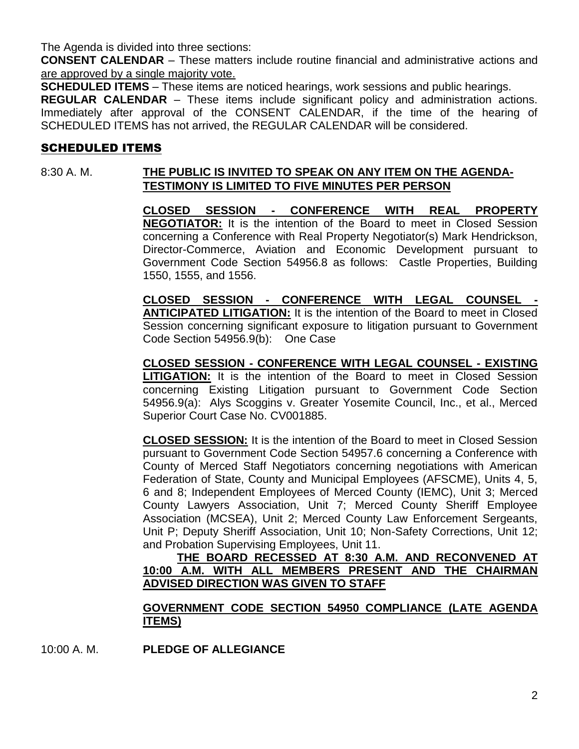The Agenda is divided into three sections:

**CONSENT CALENDAR** – These matters include routine financial and administrative actions and are approved by a single majority vote.

**SCHEDULED ITEMS** – These items are noticed hearings, work sessions and public hearings.

**REGULAR CALENDAR** – These items include significant policy and administration actions. Immediately after approval of the CONSENT CALENDAR, if the time of the hearing of SCHEDULED ITEMS has not arrived, the REGULAR CALENDAR will be considered.

## SCHEDULED ITEMS

## 8:30 A. M. **THE PUBLIC IS INVITED TO SPEAK ON ANY ITEM ON THE AGENDA-TESTIMONY IS LIMITED TO FIVE MINUTES PER PERSON**

**CLOSED SESSION - CONFERENCE WITH REAL PROPERTY NEGOTIATOR:** It is the intention of the Board to meet in Closed Session concerning a Conference with Real Property Negotiator(s) Mark Hendrickson, Director-Commerce, Aviation and Economic Development pursuant to Government Code Section 54956.8 as follows: Castle Properties, Building 1550, 1555, and 1556.

**CLOSED SESSION - CONFERENCE WITH LEGAL COUNSEL - ANTICIPATED LITIGATION:** It is the intention of the Board to meet in Closed Session concerning significant exposure to litigation pursuant to Government Code Section 54956.9(b): One Case

**CLOSED SESSION - CONFERENCE WITH LEGAL COUNSEL - EXISTING LITIGATION:** It is the intention of the Board to meet in Closed Session concerning Existing Litigation pursuant to Government Code Section 54956.9(a): Alys Scoggins v. Greater Yosemite Council, Inc., et al., Merced Superior Court Case No. CV001885.

**CLOSED SESSION:** It is the intention of the Board to meet in Closed Session pursuant to Government Code Section 54957.6 concerning a Conference with County of Merced Staff Negotiators concerning negotiations with American Federation of State, County and Municipal Employees (AFSCME), Units 4, 5, 6 and 8; Independent Employees of Merced County (IEMC), Unit 3; Merced County Lawyers Association, Unit 7; Merced County Sheriff Employee Association (MCSEA), Unit 2; Merced County Law Enforcement Sergeants, Unit P; Deputy Sheriff Association, Unit 10; Non-Safety Corrections, Unit 12; and Probation Supervising Employees, Unit 11.

**THE BOARD RECESSED AT 8:30 A.M. AND RECONVENED AT 10:00 A.M. WITH ALL MEMBERS PRESENT AND THE CHAIRMAN ADVISED DIRECTION WAS GIVEN TO STAFF**

#### **GOVERNMENT CODE SECTION 54950 COMPLIANCE (LATE AGENDA ITEMS)**

10:00 A. M. **PLEDGE OF ALLEGIANCE**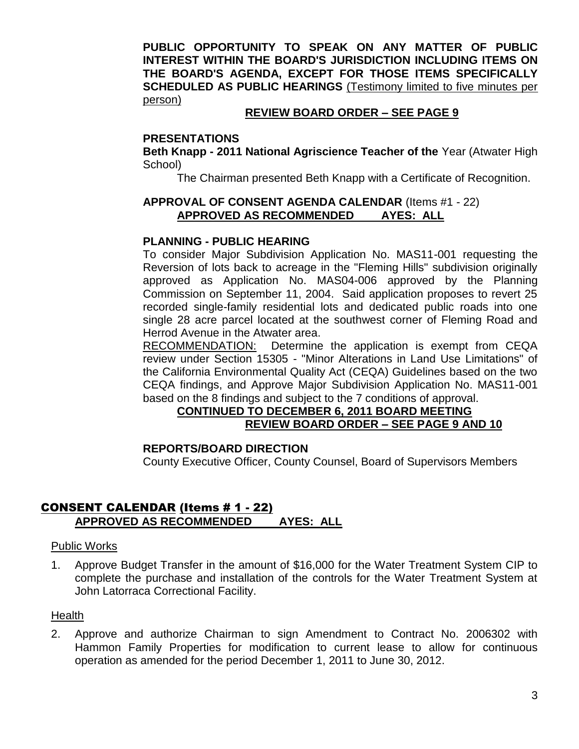**PUBLIC OPPORTUNITY TO SPEAK ON ANY MATTER OF PUBLIC INTEREST WITHIN THE BOARD'S JURISDICTION INCLUDING ITEMS ON THE BOARD'S AGENDA, EXCEPT FOR THOSE ITEMS SPECIFICALLY SCHEDULED AS PUBLIC HEARINGS** (Testimony limited to five minutes per person)

#### **REVIEW BOARD ORDER – SEE PAGE 9**

#### **PRESENTATIONS**

**Beth Knapp - 2011 National Agriscience Teacher of the** Year (Atwater High School)

The Chairman presented Beth Knapp with a Certificate of Recognition.

#### **APPROVAL OF CONSENT AGENDA CALENDAR** (Items #1 - 22) **APPROVED AS RECOMMENDED AYES: ALL**

#### **PLANNING - PUBLIC HEARING**

To consider Major Subdivision Application No. MAS11-001 requesting the Reversion of lots back to acreage in the "Fleming Hills" subdivision originally approved as Application No. MAS04-006 approved by the Planning Commission on September 11, 2004. Said application proposes to revert 25 recorded single-family residential lots and dedicated public roads into one single 28 acre parcel located at the southwest corner of Fleming Road and Herrod Avenue in the Atwater area.

RECOMMENDATION: Determine the application is exempt from CEQA review under Section 15305 - "Minor Alterations in Land Use Limitations" of the California Environmental Quality Act (CEQA) Guidelines based on the two CEQA findings, and Approve Major Subdivision Application No. MAS11-001 based on the 8 findings and subject to the 7 conditions of approval.

## **CONTINUED TO DECEMBER 6, 2011 BOARD MEETING REVIEW BOARD ORDER – SEE PAGE 9 AND 10**

#### **REPORTS/BOARD DIRECTION**

County Executive Officer, County Counsel, Board of Supervisors Members

#### CONSENT CALENDAR (Items # 1 - 22) **APPROVED AS RECOMMENDED AYES: ALL**

#### Public Works

1. Approve Budget Transfer in the amount of \$16,000 for the Water Treatment System CIP to complete the purchase and installation of the controls for the Water Treatment System at John Latorraca Correctional Facility.

#### **Health**

2. Approve and authorize Chairman to sign Amendment to Contract No. 2006302 with Hammon Family Properties for modification to current lease to allow for continuous operation as amended for the period December 1, 2011 to June 30, 2012.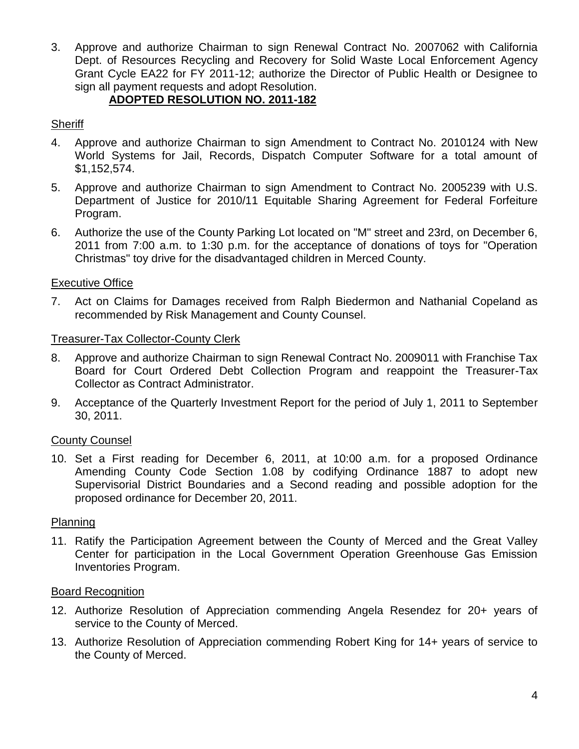3. Approve and authorize Chairman to sign Renewal Contract No. 2007062 with California Dept. of Resources Recycling and Recovery for Solid Waste Local Enforcement Agency Grant Cycle EA22 for FY 2011-12; authorize the Director of Public Health or Designee to sign all payment requests and adopt Resolution.

## **ADOPTED RESOLUTION NO. 2011-182**

## **Sheriff**

- 4. Approve and authorize Chairman to sign Amendment to Contract No. 2010124 with New World Systems for Jail, Records, Dispatch Computer Software for a total amount of \$1,152,574.
- 5. Approve and authorize Chairman to sign Amendment to Contract No. 2005239 with U.S. Department of Justice for 2010/11 Equitable Sharing Agreement for Federal Forfeiture Program.
- 6. Authorize the use of the County Parking Lot located on "M" street and 23rd, on December 6, 2011 from 7:00 a.m. to 1:30 p.m. for the acceptance of donations of toys for "Operation Christmas" toy drive for the disadvantaged children in Merced County.

## Executive Office

7. Act on Claims for Damages received from Ralph Biedermon and Nathanial Copeland as recommended by Risk Management and County Counsel.

## Treasurer-Tax Collector-County Clerk

- 8. Approve and authorize Chairman to sign Renewal Contract No. 2009011 with Franchise Tax Board for Court Ordered Debt Collection Program and reappoint the Treasurer-Tax Collector as Contract Administrator.
- 9. Acceptance of the Quarterly Investment Report for the period of July 1, 2011 to September 30, 2011.

## County Counsel

10. Set a First reading for December 6, 2011, at 10:00 a.m. for a proposed Ordinance Amending County Code Section 1.08 by codifying Ordinance 1887 to adopt new Supervisorial District Boundaries and a Second reading and possible adoption for the proposed ordinance for December 20, 2011.

## Planning

11. Ratify the Participation Agreement between the County of Merced and the Great Valley Center for participation in the Local Government Operation Greenhouse Gas Emission Inventories Program.

## Board Recognition

- 12. Authorize Resolution of Appreciation commending Angela Resendez for 20+ years of service to the County of Merced.
- 13. Authorize Resolution of Appreciation commending Robert King for 14+ years of service to the County of Merced.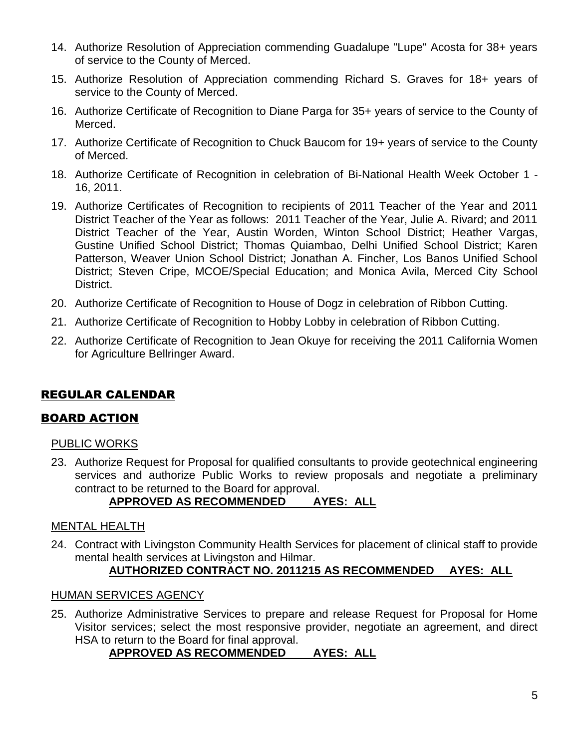- 14. Authorize Resolution of Appreciation commending Guadalupe "Lupe" Acosta for 38+ years of service to the County of Merced.
- 15. Authorize Resolution of Appreciation commending Richard S. Graves for 18+ years of service to the County of Merced.
- 16. Authorize Certificate of Recognition to Diane Parga for 35+ years of service to the County of Merced.
- 17. Authorize Certificate of Recognition to Chuck Baucom for 19+ years of service to the County of Merced.
- 18. Authorize Certificate of Recognition in celebration of Bi-National Health Week October 1 16, 2011.
- 19. Authorize Certificates of Recognition to recipients of 2011 Teacher of the Year and 2011 District Teacher of the Year as follows: 2011 Teacher of the Year, Julie A. Rivard; and 2011 District Teacher of the Year, Austin Worden, Winton School District; Heather Vargas, Gustine Unified School District; Thomas Quiambao, Delhi Unified School District; Karen Patterson, Weaver Union School District; Jonathan A. Fincher, Los Banos Unified School District; Steven Cripe, MCOE/Special Education; and Monica Avila, Merced City School District.
- 20. Authorize Certificate of Recognition to House of Dogz in celebration of Ribbon Cutting.
- 21. Authorize Certificate of Recognition to Hobby Lobby in celebration of Ribbon Cutting.
- 22. Authorize Certificate of Recognition to Jean Okuye for receiving the 2011 California Women for Agriculture Bellringer Award.

## REGULAR CALENDAR

## BOARD ACTION

#### PUBLIC WORKS

23. Authorize Request for Proposal for qualified consultants to provide geotechnical engineering services and authorize Public Works to review proposals and negotiate a preliminary contract to be returned to the Board for approval.

## **APPROVED AS RECOMMENDED AYES: ALL**

#### MENTAL HEALTH

24. Contract with Livingston Community Health Services for placement of clinical staff to provide mental health services at Livingston and Hilmar.

## **AUTHORIZED CONTRACT NO. 2011215 AS RECOMMENDED AYES: ALL**

#### HUMAN SERVICES AGENCY

25. Authorize Administrative Services to prepare and release Request for Proposal for Home Visitor services; select the most responsive provider, negotiate an agreement, and direct HSA to return to the Board for final approval.

## **APPROVED AS RECOMMENDED AYES: ALL**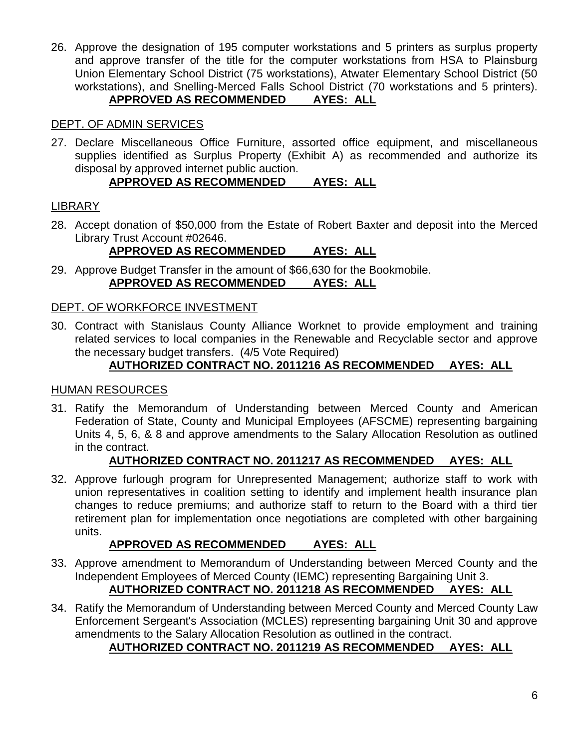26. Approve the designation of 195 computer workstations and 5 printers as surplus property and approve transfer of the title for the computer workstations from HSA to Plainsburg Union Elementary School District (75 workstations), Atwater Elementary School District (50 workstations), and Snelling-Merced Falls School District (70 workstations and 5 printers). **APPROVED AS RECOMMENDED AYES: ALL**

## DEPT. OF ADMIN SERVICES

27. Declare Miscellaneous Office Furniture, assorted office equipment, and miscellaneous supplies identified as Surplus Property (Exhibit A) as recommended and authorize its disposal by approved internet public auction.

## **APPROVED AS RECOMMENDED AYES: ALL**

## LIBRARY

28. Accept donation of \$50,000 from the Estate of Robert Baxter and deposit into the Merced Library Trust Account #02646.

## **APPROVED AS RECOMMENDED AYES: ALL**

29. Approve Budget Transfer in the amount of \$66,630 for the Bookmobile. **APPROVED AS RECOMMENDED AYES: ALL**

## DEPT. OF WORKFORCE INVESTMENT

30. Contract with Stanislaus County Alliance Worknet to provide employment and training related services to local companies in the Renewable and Recyclable sector and approve the necessary budget transfers. (4/5 Vote Required)

## **AUTHORIZED CONTRACT NO. 2011216 AS RECOMMENDED AYES: ALL**

#### HUMAN RESOURCES

31. Ratify the Memorandum of Understanding between Merced County and American Federation of State, County and Municipal Employees (AFSCME) representing bargaining Units 4, 5, 6, & 8 and approve amendments to the Salary Allocation Resolution as outlined in the contract.

## **AUTHORIZED CONTRACT NO. 2011217 AS RECOMMENDED AYES: ALL**

32. Approve furlough program for Unrepresented Management; authorize staff to work with union representatives in coalition setting to identify and implement health insurance plan changes to reduce premiums; and authorize staff to return to the Board with a third tier retirement plan for implementation once negotiations are completed with other bargaining units.

## **APPROVED AS RECOMMENDED AYES: ALL**

- 33. Approve amendment to Memorandum of Understanding between Merced County and the Independent Employees of Merced County (IEMC) representing Bargaining Unit 3. **AUTHORIZED CONTRACT NO. 2011218 AS RECOMMENDED AYES: ALL**
- 34. Ratify the Memorandum of Understanding between Merced County and Merced County Law Enforcement Sergeant's Association (MCLES) representing bargaining Unit 30 and approve amendments to the Salary Allocation Resolution as outlined in the contract.

## **AUTHORIZED CONTRACT NO. 2011219 AS RECOMMENDED AYES: ALL**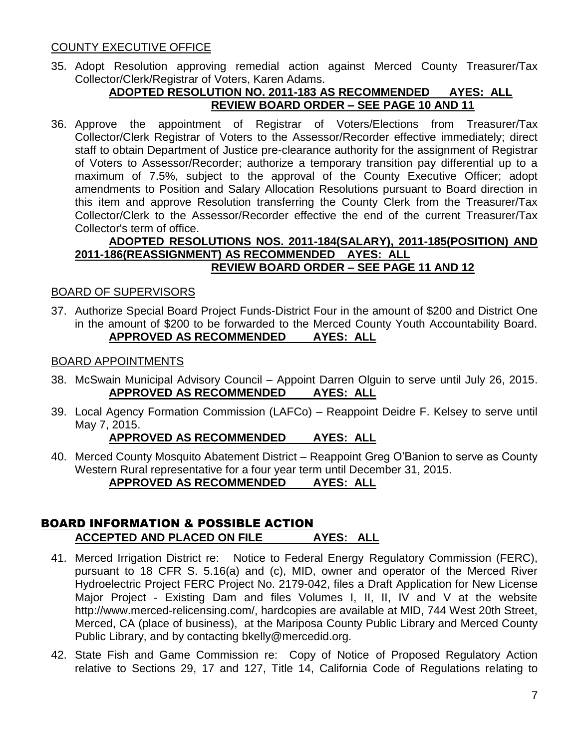#### COUNTY EXECUTIVE OFFICE

35. Adopt Resolution approving remedial action against Merced County Treasurer/Tax Collector/Clerk/Registrar of Voters, Karen Adams.

#### **ADOPTED RESOLUTION NO. 2011-183 AS RECOMMENDED AYES: ALL REVIEW BOARD ORDER – SEE PAGE 10 AND 11**

36. Approve the appointment of Registrar of Voters/Elections from Treasurer/Tax Collector/Clerk Registrar of Voters to the Assessor/Recorder effective immediately; direct staff to obtain Department of Justice pre-clearance authority for the assignment of Registrar of Voters to Assessor/Recorder; authorize a temporary transition pay differential up to a maximum of 7.5%, subject to the approval of the County Executive Officer; adopt amendments to Position and Salary Allocation Resolutions pursuant to Board direction in this item and approve Resolution transferring the County Clerk from the Treasurer/Tax Collector/Clerk to the Assessor/Recorder effective the end of the current Treasurer/Tax Collector's term of office.

#### **ADOPTED RESOLUTIONS NOS. 2011-184(SALARY), 2011-185(POSITION) AND 2011-186(REASSIGNMENT) AS RECOMMENDED AYES: ALL REVIEW BOARD ORDER – SEE PAGE 11 AND 12**

#### BOARD OF SUPERVISORS

37. Authorize Special Board Project Funds-District Four in the amount of \$200 and District One in the amount of \$200 to be forwarded to the Merced County Youth Accountability Board. **APPROVED AS RECOMMENDED AYES: ALL**

#### BOARD APPOINTMENTS

- 38. McSwain Municipal Advisory Council Appoint Darren Olguin to serve until July 26, 2015. **APPROVED AS RECOMMENDED AYES: ALL**
- 39. Local Agency Formation Commission (LAFCo) Reappoint Deidre F. Kelsey to serve until May 7, 2015.

#### **APPROVED AS RECOMMENDED AYES: ALL**

40. Merced County Mosquito Abatement District – Reappoint Greg O'Banion to serve as County Western Rural representative for a four year term until December 31, 2015. **APPROVED AS RECOMMENDED AYES: ALL**

#### BOARD INFORMATION & POSSIBLE ACTION **ACCEPTED AND PLACED ON FILE AYES: ALL**

- 41. Merced Irrigation District re: Notice to Federal Energy Regulatory Commission (FERC), pursuant to 18 CFR S. 5.16(a) and (c), MID, owner and operator of the Merced River Hydroelectric Project FERC Project No. 2179-042, files a Draft Application for New License Major Project - Existing Dam and files Volumes I, II, II, IV and V at the website http://www.merced-relicensing.com/, hardcopies are available at MID, 744 West 20th Street, Merced, CA (place of business), at the Mariposa County Public Library and Merced County Public Library, and by contacting bkelly@mercedid.org.
- 42. State Fish and Game Commission re: Copy of Notice of Proposed Regulatory Action relative to Sections 29, 17 and 127, Title 14, California Code of Regulations relating to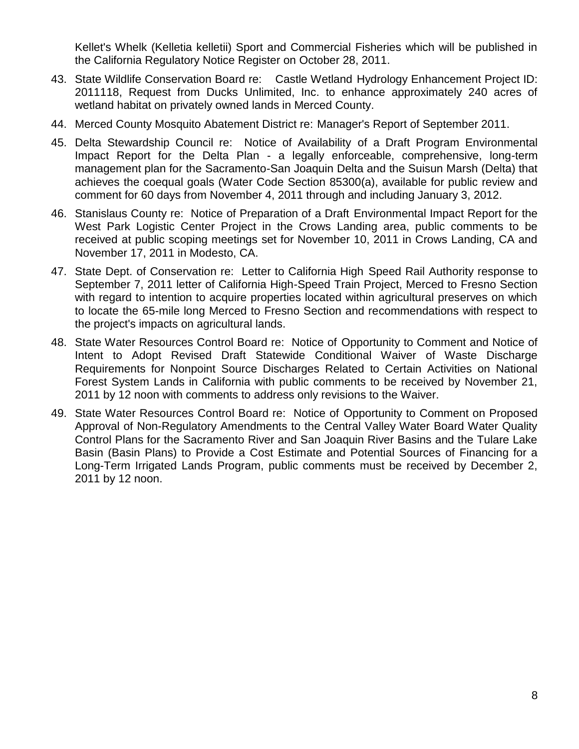Kellet's Whelk (Kelletia kelletii) Sport and Commercial Fisheries which will be published in the California Regulatory Notice Register on October 28, 2011.

- 43. State Wildlife Conservation Board re: Castle Wetland Hydrology Enhancement Project ID: 2011118, Request from Ducks Unlimited, Inc. to enhance approximately 240 acres of wetland habitat on privately owned lands in Merced County.
- 44. Merced County Mosquito Abatement District re: Manager's Report of September 2011.
- 45. Delta Stewardship Council re: Notice of Availability of a Draft Program Environmental Impact Report for the Delta Plan - a legally enforceable, comprehensive, long-term management plan for the Sacramento-San Joaquin Delta and the Suisun Marsh (Delta) that achieves the coequal goals (Water Code Section 85300(a), available for public review and comment for 60 days from November 4, 2011 through and including January 3, 2012.
- 46. Stanislaus County re: Notice of Preparation of a Draft Environmental Impact Report for the West Park Logistic Center Project in the Crows Landing area, public comments to be received at public scoping meetings set for November 10, 2011 in Crows Landing, CA and November 17, 2011 in Modesto, CA.
- 47. State Dept. of Conservation re: Letter to California High Speed Rail Authority response to September 7, 2011 letter of California High-Speed Train Project, Merced to Fresno Section with regard to intention to acquire properties located within agricultural preserves on which to locate the 65-mile long Merced to Fresno Section and recommendations with respect to the project's impacts on agricultural lands.
- 48. State Water Resources Control Board re: Notice of Opportunity to Comment and Notice of Intent to Adopt Revised Draft Statewide Conditional Waiver of Waste Discharge Requirements for Nonpoint Source Discharges Related to Certain Activities on National Forest System Lands in California with public comments to be received by November 21, 2011 by 12 noon with comments to address only revisions to the Waiver.
- 49. State Water Resources Control Board re: Notice of Opportunity to Comment on Proposed Approval of Non-Regulatory Amendments to the Central Valley Water Board Water Quality Control Plans for the Sacramento River and San Joaquin River Basins and the Tulare Lake Basin (Basin Plans) to Provide a Cost Estimate and Potential Sources of Financing for a Long-Term Irrigated Lands Program, public comments must be received by December 2, 2011 by 12 noon.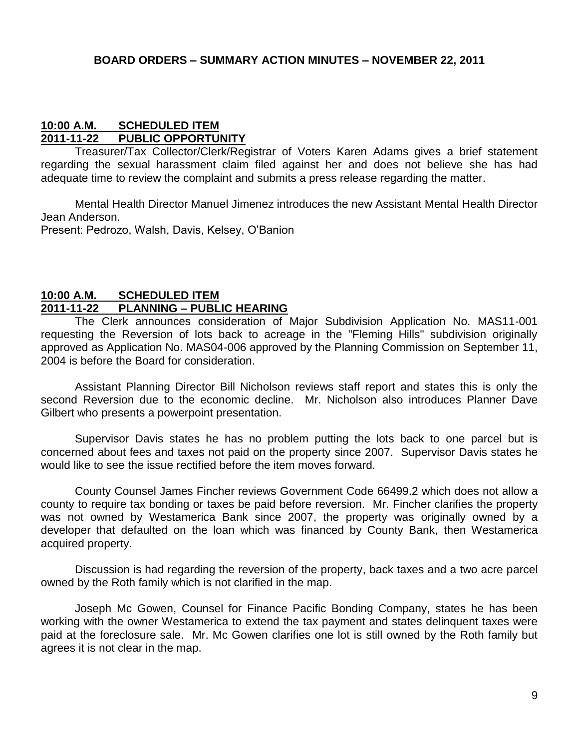#### **10:00 A.M. SCHEDULED ITEM 2011-11-22 PUBLIC OPPORTUNITY**

Treasurer/Tax Collector/Clerk/Registrar of Voters Karen Adams gives a brief statement regarding the sexual harassment claim filed against her and does not believe she has had adequate time to review the complaint and submits a press release regarding the matter.

Mental Health Director Manuel Jimenez introduces the new Assistant Mental Health Director Jean Anderson.

Present: Pedrozo, Walsh, Davis, Kelsey, O'Banion

#### **10:00 A.M. SCHEDULED ITEM 2011-11-22 PLANNING – PUBLIC HEARING**

The Clerk announces consideration of Major Subdivision Application No. MAS11-001 requesting the Reversion of lots back to acreage in the "Fleming Hills" subdivision originally approved as Application No. MAS04-006 approved by the Planning Commission on September 11, 2004 is before the Board for consideration.

Assistant Planning Director Bill Nicholson reviews staff report and states this is only the second Reversion due to the economic decline. Mr. Nicholson also introduces Planner Dave Gilbert who presents a powerpoint presentation.

Supervisor Davis states he has no problem putting the lots back to one parcel but is concerned about fees and taxes not paid on the property since 2007. Supervisor Davis states he would like to see the issue rectified before the item moves forward.

County Counsel James Fincher reviews Government Code 66499.2 which does not allow a county to require tax bonding or taxes be paid before reversion. Mr. Fincher clarifies the property was not owned by Westamerica Bank since 2007, the property was originally owned by a developer that defaulted on the loan which was financed by County Bank, then Westamerica acquired property.

Discussion is had regarding the reversion of the property, back taxes and a two acre parcel owned by the Roth family which is not clarified in the map.

Joseph Mc Gowen, Counsel for Finance Pacific Bonding Company, states he has been working with the owner Westamerica to extend the tax payment and states delinquent taxes were paid at the foreclosure sale. Mr. Mc Gowen clarifies one lot is still owned by the Roth family but agrees it is not clear in the map.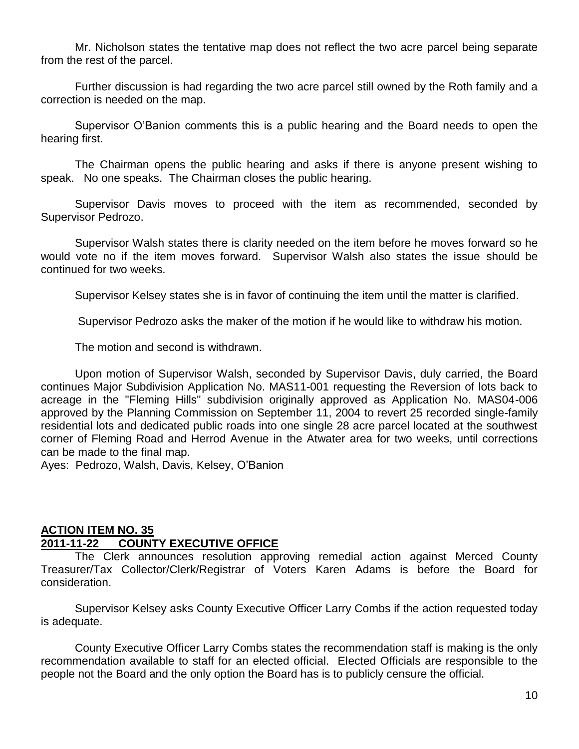Mr. Nicholson states the tentative map does not reflect the two acre parcel being separate from the rest of the parcel.

Further discussion is had regarding the two acre parcel still owned by the Roth family and a correction is needed on the map.

Supervisor O'Banion comments this is a public hearing and the Board needs to open the hearing first.

The Chairman opens the public hearing and asks if there is anyone present wishing to speak. No one speaks. The Chairman closes the public hearing.

Supervisor Davis moves to proceed with the item as recommended, seconded by Supervisor Pedrozo.

Supervisor Walsh states there is clarity needed on the item before he moves forward so he would vote no if the item moves forward. Supervisor Walsh also states the issue should be continued for two weeks.

Supervisor Kelsey states she is in favor of continuing the item until the matter is clarified.

Supervisor Pedrozo asks the maker of the motion if he would like to withdraw his motion.

The motion and second is withdrawn.

Upon motion of Supervisor Walsh, seconded by Supervisor Davis, duly carried, the Board continues Major Subdivision Application No. MAS11-001 requesting the Reversion of lots back to acreage in the "Fleming Hills" subdivision originally approved as Application No. MAS04-006 approved by the Planning Commission on September 11, 2004 to revert 25 recorded single-family residential lots and dedicated public roads into one single 28 acre parcel located at the southwest corner of Fleming Road and Herrod Avenue in the Atwater area for two weeks, until corrections can be made to the final map.

Ayes: Pedrozo, Walsh, Davis, Kelsey, O'Banion

## **ACTION ITEM NO. 35**

#### **2011-11-22 COUNTY EXECUTIVE OFFICE**

The Clerk announces resolution approving remedial action against Merced County Treasurer/Tax Collector/Clerk/Registrar of Voters Karen Adams is before the Board for consideration.

Supervisor Kelsey asks County Executive Officer Larry Combs if the action requested today is adequate.

County Executive Officer Larry Combs states the recommendation staff is making is the only recommendation available to staff for an elected official. Elected Officials are responsible to the people not the Board and the only option the Board has is to publicly censure the official.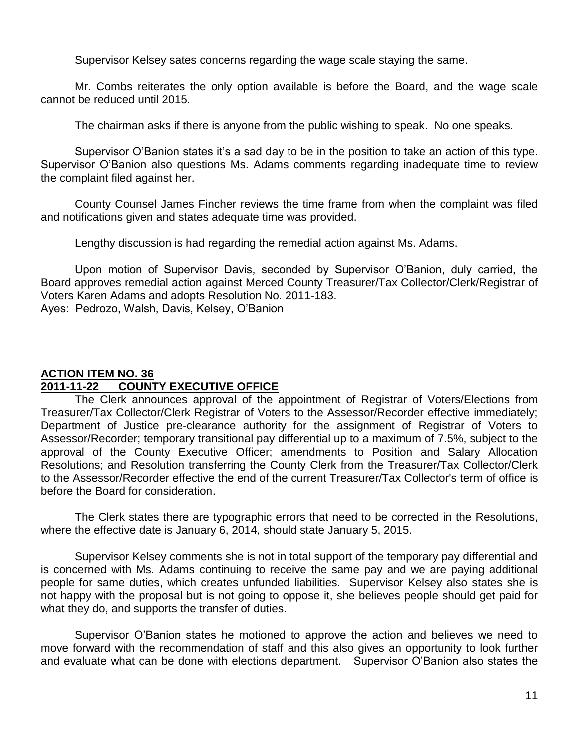Supervisor Kelsey sates concerns regarding the wage scale staying the same.

Mr. Combs reiterates the only option available is before the Board, and the wage scale cannot be reduced until 2015.

The chairman asks if there is anyone from the public wishing to speak. No one speaks.

Supervisor O'Banion states it's a sad day to be in the position to take an action of this type. Supervisor O'Banion also questions Ms. Adams comments regarding inadequate time to review the complaint filed against her.

County Counsel James Fincher reviews the time frame from when the complaint was filed and notifications given and states adequate time was provided.

Lengthy discussion is had regarding the remedial action against Ms. Adams.

Upon motion of Supervisor Davis, seconded by Supervisor O'Banion, duly carried, the Board approves remedial action against Merced County Treasurer/Tax Collector/Clerk/Registrar of Voters Karen Adams and adopts Resolution No. 2011-183. Ayes: Pedrozo, Walsh, Davis, Kelsey, O'Banion

## **ACTION ITEM NO. 36 2011-11-22 COUNTY EXECUTIVE OFFICE**

The Clerk announces approval of the appointment of Registrar of Voters/Elections from Treasurer/Tax Collector/Clerk Registrar of Voters to the Assessor/Recorder effective immediately; Department of Justice pre-clearance authority for the assignment of Registrar of Voters to Assessor/Recorder; temporary transitional pay differential up to a maximum of 7.5%, subject to the approval of the County Executive Officer; amendments to Position and Salary Allocation Resolutions; and Resolution transferring the County Clerk from the Treasurer/Tax Collector/Clerk to the Assessor/Recorder effective the end of the current Treasurer/Tax Collector's term of office is before the Board for consideration.

The Clerk states there are typographic errors that need to be corrected in the Resolutions, where the effective date is January 6, 2014, should state January 5, 2015.

Supervisor Kelsey comments she is not in total support of the temporary pay differential and is concerned with Ms. Adams continuing to receive the same pay and we are paying additional people for same duties, which creates unfunded liabilities. Supervisor Kelsey also states she is not happy with the proposal but is not going to oppose it, she believes people should get paid for what they do, and supports the transfer of duties.

Supervisor O'Banion states he motioned to approve the action and believes we need to move forward with the recommendation of staff and this also gives an opportunity to look further and evaluate what can be done with elections department. Supervisor O'Banion also states the